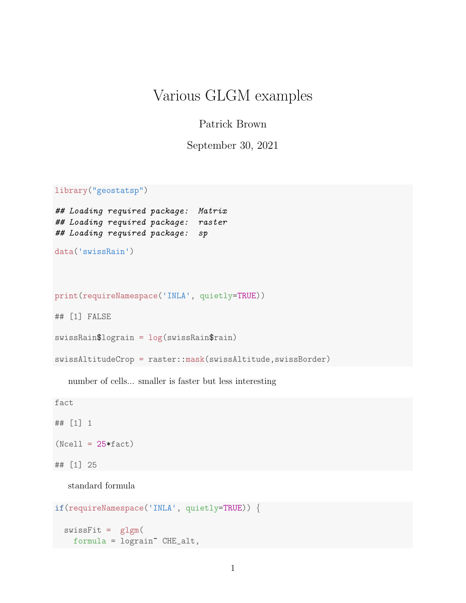## Various GLGM examples

## Patrick Brown

September 30, 2021

library("geostatsp")

```
## Loading required package: Matrix
## Loading required package: raster
## Loading required package: sp
```

```
data('swissRain')
```

```
print(requireNamespace('INLA', quietly=TRUE))
```
## [1] FALSE

```
swissRain$lograin = log(swissRain$rain)
```
swissAltitudeCrop = raster::mask(swissAltitude,swissBorder)

number of cells... smaller is faster but less interesting

fact

## [1] 1  $(Ncell = 25 * fact)$ ## [1] 25

standard formula

```
if(requireNamespace('INLA', quietly=TRUE)) {
  swissFit = glgm(formula = lograin~ CHE_alt,
```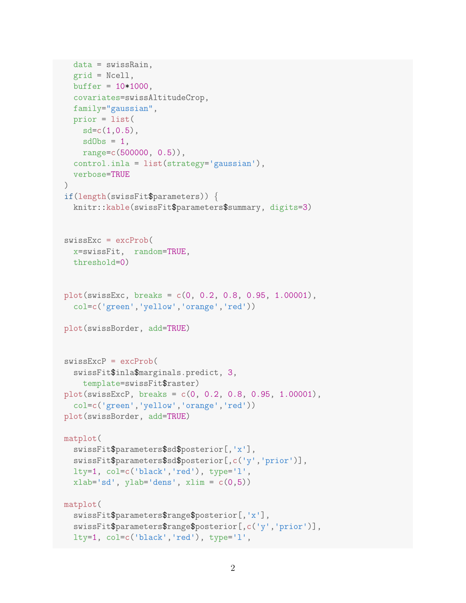```
data = swissRain,
  grid = Ncell,
  buffer = 10*1000,covariates=swissAltitudeCrop,
  family="gaussian",
 prior = list(
    sd=c(1,0.5),
    sdObs = 1,
    range=c(500000, 0.5)),
  control.inla = list(strategy='gaussian'),
  verbose=TRUE
)
if(length(swissFit$parameters)) {
  knitr::kable(swissFit$parameters$summary, digits=3)
swissExc = excProb(
  x=swissFit, random=TRUE,
 threshold=0)
plot(swissExc, breaks = c(0, 0.2, 0.8, 0.95, 1.00001),
  col=c('green','yellow','orange','red'))
plot(swissBorder, add=TRUE)
swissExcP = excProb(
  swissFit$inla$marginals.predict, 3,
   template=swissFit$raster)
plot(swissExcP, breaks = c(0, 0.2, 0.8, 0.95, 1.00001),
  col=c('green','yellow','orange','red'))
plot(swissBorder, add=TRUE)
matplot(
  swissFit$parameters$sd$posterior[,'x'],
  swissFit$parameters$sd$posterior[,c('y','prior')],
  lty=1, col=c('black','red'), type='l',
  xlab='sd', ylab='dens', xlim = c(0,5))
matplot(
  swissFit$parameters$range$posterior[,'x'],
  swissFit$parameters$range$posterior[,c('y','prior')],
  lty=1, col=c('black','red'), type='l',
```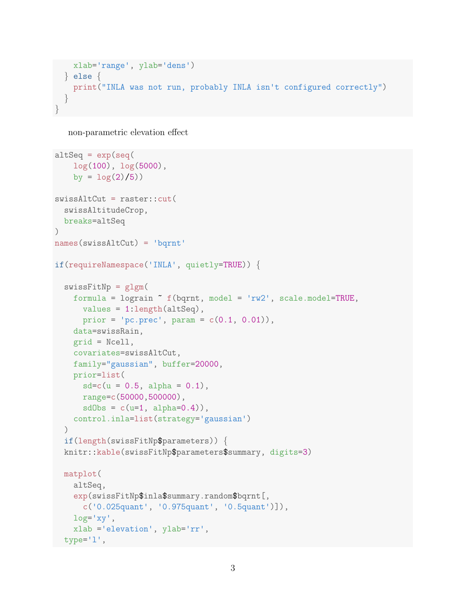```
xlab='range', ylab='dens')
 } else {
   print("INLA was not run, probably INLA isn't configured correctly")
  }
}
```
non-parametric elevation effect

```
altSeq = exp(seq)log(100), log(5000),
    by = \log(2)/5)
swissAltCut = raster::cut(
  swissAltitudeCrop,
 breaks=altSeq
\left( \right)names(swissAltCut) = 'bqrnt'
if(requireNamespace('INLA', quietly=TRUE)) {
  swissFitNp = glgm(formula = lograin f(\text{bqcnt}, \text{model} = 'rw2', scale.model=TRUE,values = 1:length(altSeq),
     prior = 'pc.prec', param = c(0.1, 0.01),
    data=swissRain,
    grid = Ncell,
    covariates=swissAltCut,
   family="gaussian", buffer=20000,
   prior=list(
      sd=c(u = 0.5, alpha = 0.1),range=c(50000,500000),
      sdObs = c(u=1, alpha=0.4)),control.inla=list(strategy='gaussian')
  )
  if(length(swissFitNp$parameters)) {
  knitr::kable(swissFitNp$parameters$summary, digits=3)
 matplot(
    altSeq,
    exp(swissFitNp$inla$summary.random$bqrnt[,
      c('0.025quant', '0.975quant', '0.5quant')]),
    log='xy',
    xlab ='elevation', ylab='rr',
  type='l',
```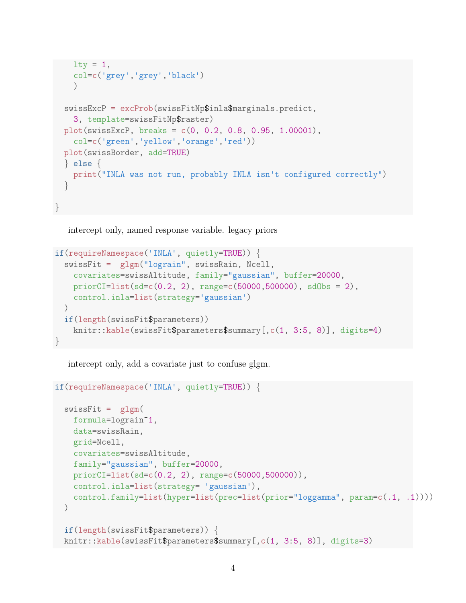```
lty = 1,
   col=c('grey','grey','black')
   )swissExcP = excProb(swissFitNp$inla$marginals.predict,
   3, template=swissFitNp$raster)
 plot(swissExcP, breaks = c(0, 0.2, 0.8, 0.95, 1.00001),
   col=c('green','yellow','orange','red'))
 plot(swissBorder, add=TRUE)
 } else {
   print("INLA was not run, probably INLA isn't configured correctly")
  }
}
```
intercept only, named response variable. legacy priors

```
if(requireNamespace('INLA', quietly=TRUE)) {
  swissFit = glgm("lograin", swissRain, Ncell,
    covariates=swissAltitude, family="gaussian", buffer=20000,
    priorCI=list(sd=c(0.2, 2), range=c(50000,500000), sdObs = 2),
    control.inla=list(strategy='gaussian')
  \left( \right)if(length(swissFit$parameters))
    knitr::kable(swissFit$parameters$summary[,c(1, 3:5, 8)], digits=4)
}
```
intercept only, add a covariate just to confuse glgm.

```
if(requireNamespace('INLA', quietly=TRUE)) {
  swissFit = glgm(formula=lograin~1,
    data=swissRain,
    grid=Ncell,
    covariates=swissAltitude,
    family="gaussian", buffer=20000,
    priorCI=list(sd=c(0.2, 2), range=c(50000,500000)),
    control.inla=list(strategy= 'gaussian'),
    control.family=list(hyper=list(prec=list(prior="loggamma", param=c(.1, .1))))
  \left( \right)if(length(swissFit$parameters)) {
  knitr::kable(swissFit$parameters$summary[,c(1, 3:5, 8)], digits=3)
```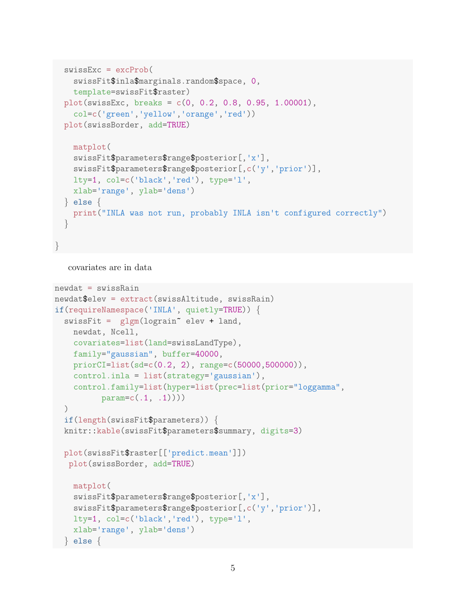```
swissExc = excProb(
   swissFit$inla$marginals.random$space, 0,
   template=swissFit$raster)
 plot(swissExc, breaks = c(0, 0.2, 0.8, 0.95, 1.00001),
   col=c('green','yellow','orange','red'))
 plot(swissBorder, add=TRUE)
   matplot(
   swissFit$parameters$range$posterior[,'x'],
   swissFit$parameters$range$posterior[,c('y','prior')],
   lty=1, col=c('black','red'), type='l',
   xlab='range', ylab='dens')
 } else {
   print("INLA was not run, probably INLA isn't configured correctly")
  }
}
```

```
covariates are in data
```

```
newdat = swissRainnewdat$elev = extract(swissAltitude, swissRain)
if(requireNamespace('INLA', quietly=TRUE)) {
  swissFit = glgm(lograin^{\sim} elev + land,newdat, Ncell,
    covariates=list(land=swissLandType),
    family="gaussian", buffer=40000,
    priorCI=list(sd=c(0.2, 2), range=c(50000,500000)),
    control.inla = list(strategy='gaussian'),
    control.family=list(hyper=list(prec=list(prior="loggamma",
          param=c(.1, .1)))
  \lambdaif(length(swissFit$parameters)) {
  knitr::kable(swissFit$parameters$summary, digits=3)
  plot(swissFit$raster[['predict.mean']])
  plot(swissBorder, add=TRUE)
    matplot(
    swissFit$parameters$range$posterior[,'x'],
    swissFit$parameters$range$posterior[,c('y','prior')],
    lty=1, col=c('black','red'), type='l',
    xlab='range', ylab='dens')
  } else {
```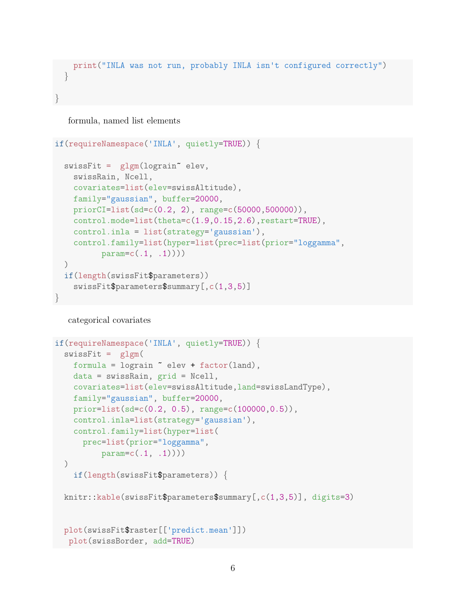```
print("INLA was not run, probably INLA isn't configured correctly")
 }
}
```
formula, named list elements

```
if(requireNamespace('INLA', quietly=TRUE)) {
  swissFit = glgm(lograin^ \circ elev,swissRain, Ncell,
    covariates=list(elev=swissAltitude),
    family="gaussian", buffer=20000,
    priorCI=list(sd=c(0.2, 2), range=c(50000,500000)),
    control.mode=list(theta=c(1.9,0.15,2.6),restart=TRUE),
    control.inla = list(strategy='gaussian'),
    control.family=list(hyper=list(prec=list(prior="loggamma",
          param=c(.1, .1)))
  )
  if(length(swissFit$parameters))
    swissFit$parameters$summary[,c(1,3,5)]
}
```
categorical covariates

```
if(requireNamespace('INLA', quietly=TRUE)) {
  swissFit = glgm(formula = lograin \tilde{\phantom{a}} elev + factor(land),
    data = swissRain, grid = Ncell,
    covariates=list(elev=swissAltitude,land=swissLandType),
    family="gaussian", buffer=20000,
    prior=list(sd=c(0.2, 0.5), range=c(100000,0.5)),
    control.inla=list(strategy='gaussian'),
    control.family=list(hyper=list(
      prec=list(prior="loggamma",
          param=c(.1, .1)))\left( \right)if(length(swissFit$parameters)) {
  knitr::kable(swissFit$parameters$summary[,c(1,3,5)], digits=3)
  plot(swissFit$raster[['predict.mean']])
   plot(swissBorder, add=TRUE)
```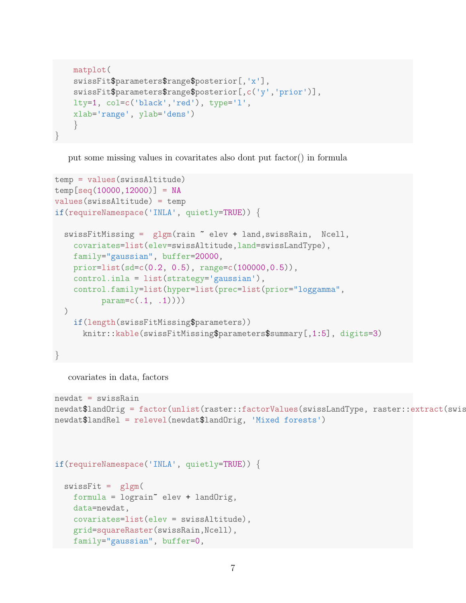```
matplot(
   swissFit$parameters$range$posterior[,'x'],
   swissFit$parameters$range$posterior[,c('y','prior')],
   lty=1, col=c('black','red'), type='l',
   xlab='range', ylab='dens')
    }
}
```
put some missing values in covaritates also dont put factor() in formula

```
temp = values(swissAltitude)
temp[seq(10000,12000)] = NA
values(swissAltitude) = temp
if(requireNamespace('INLA', quietly=TRUE)) {
 swissFitMissing = glgm(rain ~ elev + land,swissRain, Ncell,
    covariates=list(elev=swissAltitude,land=swissLandType),
   family="gaussian", buffer=20000,
   prior=list(sd=c(0.2, 0.5), range=c(100000,0.5)),
    control.inla = list(strategy='gaussian'),
    control.family=list(hyper=list(prec=list(prior="loggamma",
          param=c(.1, .1)))
 )
    if(length(swissFitMissing$parameters))
      knitr::kable(swissFitMissing$parameters$summary[,1:5], digits=3)
}
```
covariates in data, factors

```
newdat = swissRain
newdat$landOrig = factor(unlist(raster::factorValues(swissLandType, raster::extract(swis
newdat$landRel = relevel(newdat$landOrig, 'Mixed forests')
```
if(requireNamespace('INLA', quietly=TRUE)) {

```
swissFit = glgm(formula = lograin~ elev + landOrig,
 data=newdat,
  covariates=list(elev = swissAltitude),
  grid=squareRaster(swissRain,Ncell),
 family="gaussian", buffer=0,
```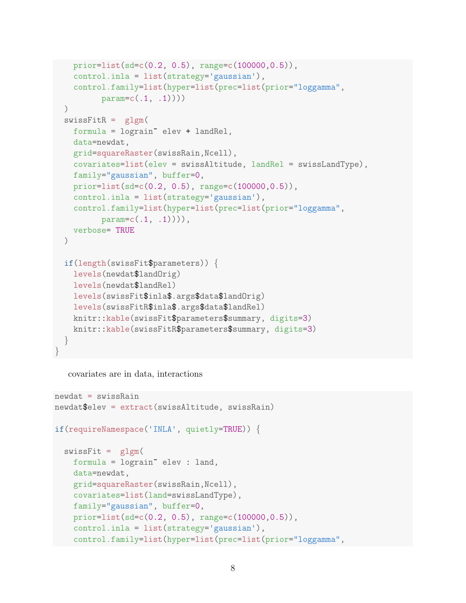```
prior=list(sd=c(0.2, 0.5), range=c(100000,0.5)),
   control.inla = list(strategy='gaussian'),
   control.family=list(hyper=list(prec=list(prior="loggamma",
         param=c(.1, .1)))
  )
 swissFitR = g1gm(formula = logarith elev + landRel,
   data=newdat,
   grid=squareRaster(swissRain,Ncell),
   covariates=list(elev = swissAltitude, landRel = swissLandType),
   family="gaussian", buffer=0,
   prior=list(sd=c(0.2, 0.5), range=c(100000, 0.5)),control.inla = list(strategy='gaussian'),
   control.family=list(hyper=list(prec=list(prior="loggamma",
         param = c(.1, .1)),
   verbose= TRUE
 )
 if(length(swissFit$parameters)) {
   levels(newdat$landOrig)
   levels(newdat$landRel)
   levels(swissFit$inla$.args$data$landOrig)
   levels(swissFitR$inla$.args$data$landRel)
   knitr::kable(swissFit$parameters$summary, digits=3)
   knitr::kable(swissFitR$parameters$summary, digits=3)
  }
}
```

```
covariates are in data, interactions
```

```
newdat = swissRain
newdat$elev = extract(swissAltitude, swissRain)
if(requireNamespace('INLA', quietly=TRUE)) {
 swissFit = glgm(formula = lograin~ elev : land,
   data=newdat,
    grid=squareRaster(swissRain,Ncell),
    covariates=list(land=swissLandType),
    family="gaussian", buffer=0,
   prior=list(sd=c(0.2, 0.5), range=c(100000,0.5)),
    control.inla = list(strategy='gaussian'),
    control.family=list(hyper=list(prec=list(prior="loggamma",
```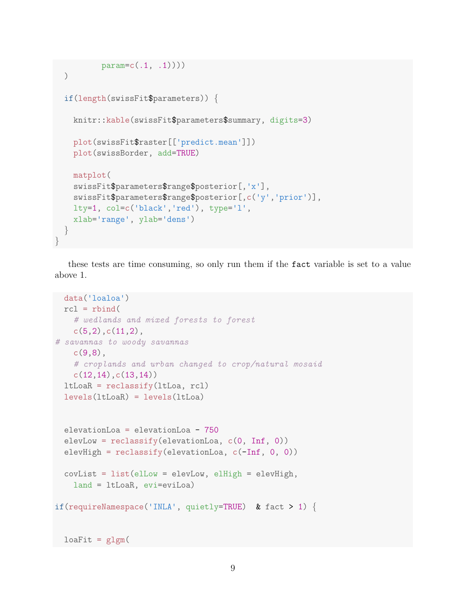```
param=c(.1, .1)))
  )
 if(length(swissFit$parameters)) {
   knitr::kable(swissFit$parameters$summary, digits=3)
   plot(swissFit$raster[['predict.mean']])
   plot(swissBorder, add=TRUE)
   matplot(
   swissFit$parameters$range$posterior[,'x'],
   swissFit$parameters$range$posterior[,c('y','prior')],
   lty=1, col=c('black','red'), type='l',
   xlab='range', ylab='dens')
  }
}
```
these tests are time consuming, so only run them if the fact variable is set to a value above 1.

```
data('loaloa')
 rcl = rbind(# wedlands and mixed forests to forest
   c(5,2),c(11,2),
# savannas to woody savannas
    c(9,8),
    # croplands and urban changed to crop/natural mosaid
   c(12,14),c(13,14)ltLoaR = reclassify(ltLoa, rcl)
 levels(ltLoaR) = levels(ltLoa)
 elevationLoa = elevationLoa - 750
 elevLow = reclassify(elevationLoa, c(0, Inf, 0))
 elevHigh = reclassify(elevationLoa, c(-Inf, 0, 0))covList = list(e1Low = elevLow, elifigh = elevHigh,land = ltLoaR, evi=eviLoa)
if(requireNamespace('INLA', quietly=TRUE) & fact > 1) {
 loafit = glgm(
```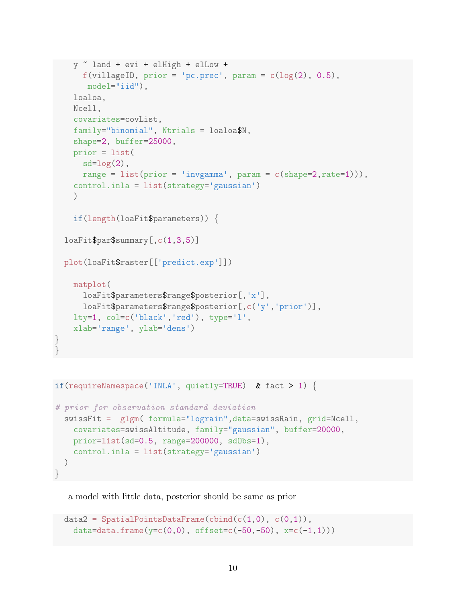```
y ~ land + evi + elHigh + elLow +
    f(villageID, prior = 'pc.prec', param = c(log(2), 0.5),model="iid"),
  loaloa,
  Ncell,
  covariates=covList,
  family="binomial", Ntrials = loaloa$N,
  shape=2, buffer=25000,
  prior = list(
    sd = log(2),
   range = list(prior = 'invgamma', param = c(shape=2, rate=1))),
  control.inla = list(strategy='gaussian')
  )
  if(length(loaFit$parameters)) {
loaFit$par$summary[,c(1,3,5)]
plot(loaFit$raster[['predict.exp']])
  matplot(
    loaFit$parameters$range$posterior[,'x'],
    loaFit$parameters$range$posterior[,c('y','prior')],
  lty=1, col=c('black','red'), type='l',
  xlab='range', ylab='dens')
```

```
if(requireNamespace('INLA', quietly=TRUE) & fact > 1) {
```
} }

```
# prior for observation standard deviation
 swissFit = glgm( formula="lograin",data=swissRain, grid=Ncell,
   covariates=swissAltitude, family="gaussian", buffer=20000,
   prior=list(sd=0.5, range=200000, sdObs=1),
   control.inla = list(strategy='gaussian')
 )
}
```
a model with little data, posterior should be same as prior

```
data2 = SpatialPointsDataFrame(cbind(c(1,0), c(0,1)),
  data=data.frame(y=c(0,0), offset=c(-50,-50), x=c(-1,1)))
```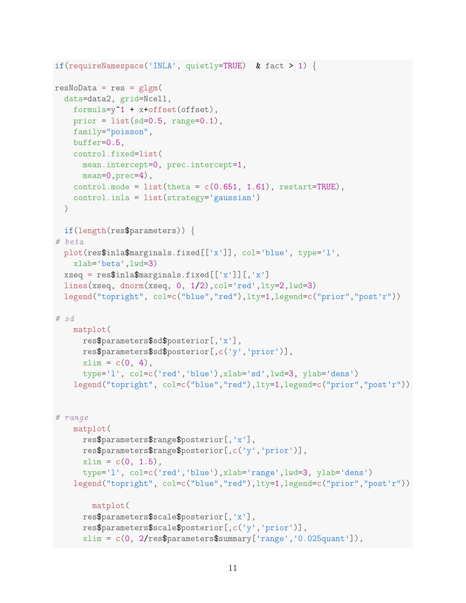```
if(requireNamespace('INLA', quietly=TRUE) & fact > 1) {
resNoData = res = g1gm(data=data2, grid=Ncell,
    formula=y~1 + x+offset(offset),
    prior = list(sd=0.5, range=0.1),
   family="poisson",
   buffer=0.5,
    control.fixed=list(
     mean.intercept=0, prec.intercept=1,
     mean=0, prec=4),
   control.mode = list(theta = c(0.651, 1.61), restart=TRUE),
   control.inla = list(strategy='gaussian')
 \lambdaif(length(res$parameters)) {
# beta
 plot(res$inla$marginals.fixed[['x']], col='blue', type='l',
   xlab='beta',lwd=3)
 xseq = res$inla$maxgrinals.fixed[['x']][,'x']lines(xseq, dnorm(xseq, 0, 1/2),col='red',lty=2,lwd=3)
 legend("topright", col=c("blue","red"),lty=1,legend=c("prior","post'r"))
# sd
   matplot(
     res$parameters$sd$posterior[,'x'],
     res$parameters$sd$posterior[,c('y','prior')],
     xlim = c(0, 4),type='l', col=c('red','blue'),xlab='sd',lwd=3, ylab='dens')
    legend("topright", col=c("blue","red"),lty=1,legend=c("prior","post'r"))
# range
   matplot(
      res$parameters$range$posterior[,'x'],
     res$parameters$range$posterior[,c('y','prior')],
     xlim = c(0, 1.5),
      type='l', col=c('red','blue'),xlab='range',lwd=3, ylab='dens')
    legend("topright", col=c("blue","red"),lty=1,legend=c("prior","post'r"))
        matplot(
     res$parameters$scale$posterior[,'x'],
     res$parameters$scale$posterior[,c('y','prior')],
      xlim = c(0, 2/res$parameters$summary['range','0.025quant']),
```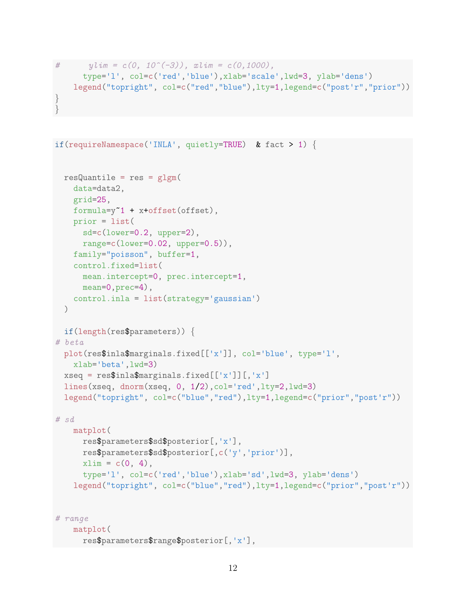```
\# ylim = c(0, 10^(-3)), xlim = c(0,1000),
     type='l', col=c('red','blue'),xlab='scale',lwd=3, ylab='dens')
   legend("topright", col=c("red","blue"),lty=1,legend=c("post'r","prior"))
}
}
```

```
if(requireNamespace('INLA', quietly=TRUE) & fact > 1) {
 resQuantile = res = glgm(data=data2,
   grid=25,
   formula=y~1 + x+offset(offset),
    prior = list(
     sd=c(lower=0.2, upper=2),
     range=c(lower=0.02, upper=0.5)),
   family="poisson", buffer=1,
    control.fixed=list(
     mean.intercept=0, prec.intercept=1,
     mean=0,prec=4),
   control.inla = list(strategy='gaussian')
 )
 if(length(res$parameters)) {
# beta
 plot(res$inla$marginals.fixed[['x']], col='blue', type='l',
   xlab='beta',lwd=3)
 xseq = res$inla$maxgnals.fixed[['x']][,'x']lines(xseq, dnorm(xseq, 0, 1/2),col='red',lty=2,lwd=3)
 legend("topright", col=c("blue","red"),lty=1,legend=c("prior","post'r"))
# sd
   matplot(
      res$parameters$sd$posterior[,'x'],
     res$parameters$sd$posterior[,c('y','prior')],
     xlim = c(0, 4),type='l', col=c('red','blue'),xlab='sd',lwd=3, ylab='dens')
    legend("topright", col=c("blue","red"),lty=1,legend=c("prior","post'r"))
# range
   matplot(
      res$parameters$range$posterior[,'x'],
```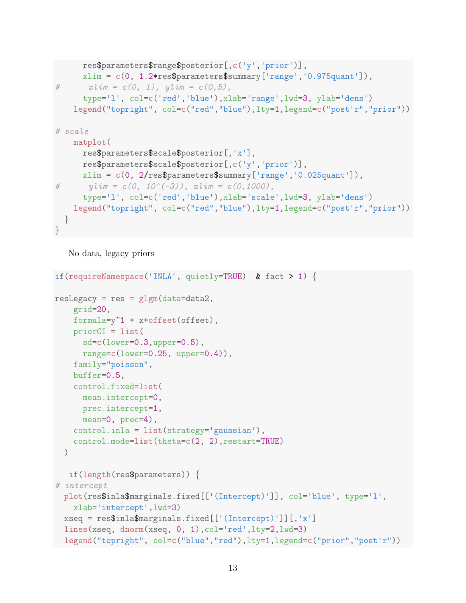```
res$parameters$range$posterior[,c('y','prior')],
      xlim = c(0, 1.2*res$ parameters$summary['range', '0.975quant']),
# x \, \text{l} \, \text{im} = c(0, 1), \, y \, \text{l} \, \text{im} = c(0, 5),type='l', col=c('red','blue'),xlab='range',lwd=3, ylab='dens')
    legend("topright", col=c("red","blue"),lty=1,legend=c("post'r","prior"))
# scale
    matplot(
      res$parameters$scale$posterior[,'x'],
      res$parameters$scale$posterior[,c('y','prior')],
      xlim = c(0, 2/res$parameters$summary['range','0.025quant']),
\# ylim = c(0, 10^(-3)), xlim = c(0,1000),
      type='l', col=c('red','blue'),xlab='scale',lwd=3, ylab='dens')
    legend("topright", col=c("red","blue"),lty=1,legend=c("post'r","prior"))
  }
}
```
No data, legacy priors

```
if(requireNamespace('INLA', quietly=TRUE) & fact > 1) {
resLegacy = res = glgm(data=data2,grid=20,
    formula=y~1 + x+offset(offset),
    priorCI = list(sd=c(lower=0.3,upper=0.5),
     range=c(lower=0.25, upper=0.4)),
   family="poisson",
    buffer=0.5,
    control.fixed=list(
     mean.intercept=0,
     prec.intercept=1,
     mean=0, prec=4),
    control.inla = list(strategy='gaussian'),
    control.mode=list(theta=c(2, 2),restart=TRUE)
 )
  if(length(res$parameters)) {
# intercept
 plot(res$inla$marginals.fixed[['(Intercept)']], col='blue', type='l',
   xlab='intercept',lwd=3)
 xseq = res$inla$marginals.fixed[['(Intercept)']][,'x']
 lines(xseq, dnorm(xseq, 0, 1),col='red',lty=2,lwd=3)
 legend("topright", col=c("blue","red"),lty=1,legend=c("prior","post'r"))
```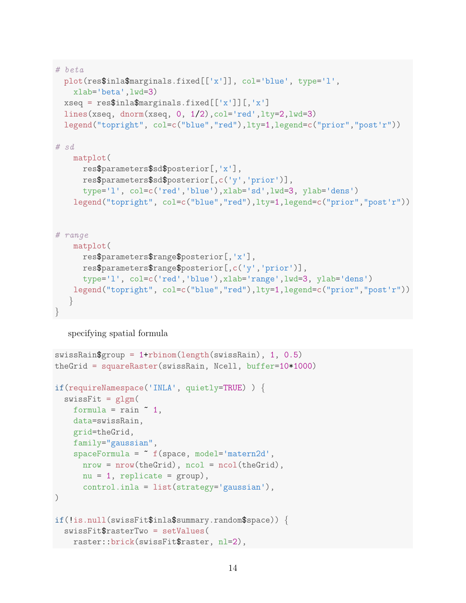```
# beta
 plot(res$inla$marginals.fixed[['x']], col='blue', type='l',
   xlab='beta',lwd=3)
 xseq = res$inla$maxgnals.fixed[['x']][,'x']lines(xseq, dnorm(xseq, 0, 1/2),col='red',lty=2,lwd=3)
 legend("topright", col=c("blue","red"),lty=1,legend=c("prior","post'r"))
# sd
   matplot(
     res$parameters$sd$posterior[,'x'],
     res$parameters$sd$posterior[,c('y','prior')],
     type='l', col=c('red','blue'),xlab='sd',lwd=3, ylab='dens')
   legend("topright", col=c("blue","red"),lty=1,legend=c("prior","post'r"))
# range
   matplot(
     res$parameters$range$posterior[,'x'],
     res$parameters$range$posterior[,c('y','prior')],
     type='l', col=c('red','blue'),xlab='range',lwd=3, ylab='dens')
   legend("topright", col=c("blue","red"),lty=1,legend=c("prior","post'r"))
   }
}
```
## specifying spatial formula

```
swissRain$group = 1+rbinom(length(swissRain), 1, 0.5)
theGrid = squareRaster(swissRain, Ncell, buffer=10*1000)
if(requireNamespace('INLA', quietly=TRUE) ) {
 swissFit = glgm(formula = rain " 1,data=swissRain,
   grid=theGrid,
    family="gaussian",
    spaceFromula = "f(space, model='matern2d',nrow = nrow(theGrid), ncol = ncol(theGrid),
      nu = 1, replicate = group),
      control.inla = list(strategy='gaussian'),
)
if(!is.null(swissFit$inla$summary.random$space)) {
 swissFit$rasterTwo = setValues(
    raster::brick(swissFit$raster, nl=2),
```